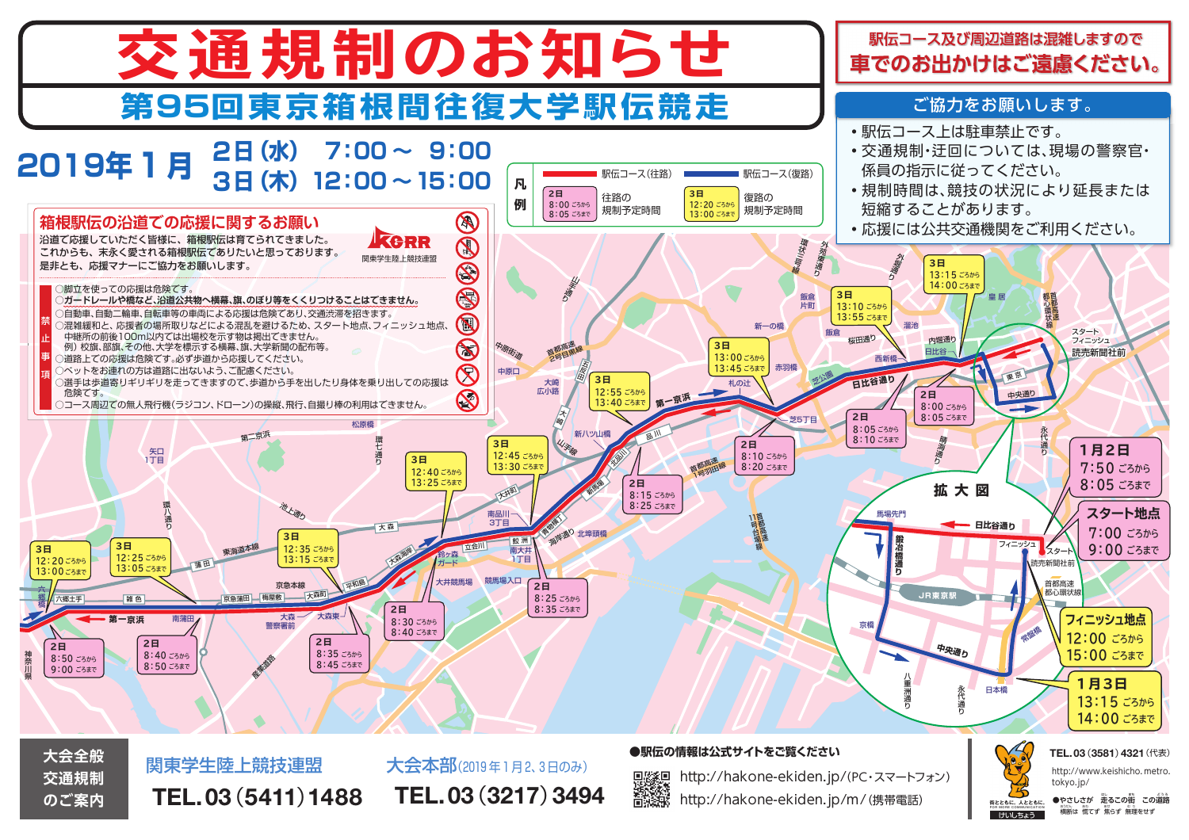

## けいしちょう **街とともに。人とともに。**

<sub>FOR MORE COMMUNICATION おおん おん おしません しゅうかい しゅうかい しゅうかい こうしん しゅうかい こうしゅうかい おんしゅう こうしゅう</sub> **●やさしさが 走るこの街 この道路**